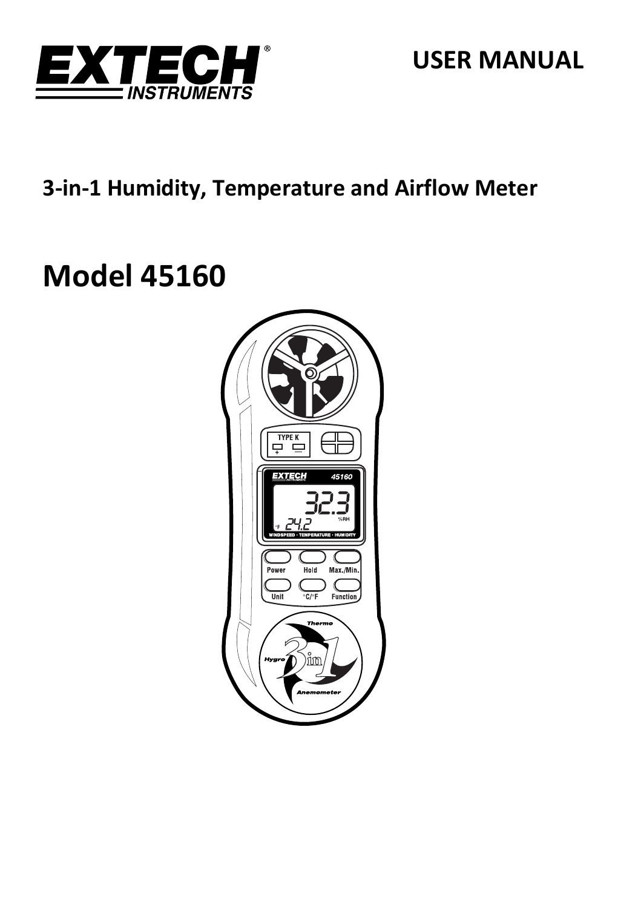

## 3-in-1 Humidity, Temperature and Airflow Meter

# **Model 45160**

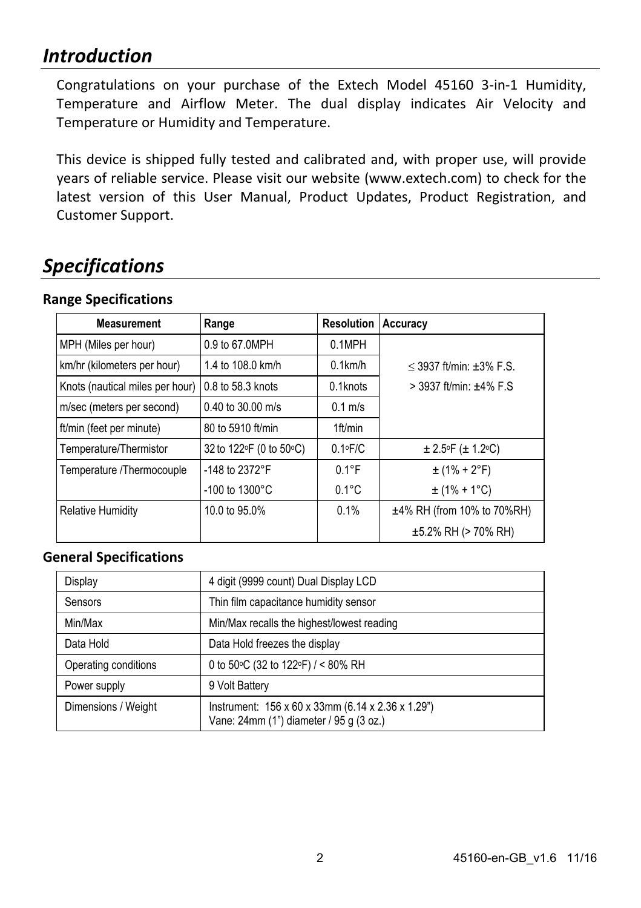### *Introduction*

Congratulations on your purchase of the Extech Model 45160 3‐in‐1 Humidity, Temperature and Airflow Meter. The dual display indicates Air Velocity and Temperature or Humidity and Temperature.

This device is shipped fully tested and calibrated and, with proper use, will provide years of reliable service. Please visit our website (www.extech.com) to check for the latest version of this User Manual, Product Updates, Product Registration, and Customer Support.

### *Specifications*

#### **Range Specifications**

| <b>Measurement</b>              | Range                      | <b>Resolution</b> | Accuracy                       |
|---------------------------------|----------------------------|-------------------|--------------------------------|
| MPH (Miles per hour)            | 0.9 to 67.0MPH             | 0.1MPH            |                                |
| km/hr (kilometers per hour)     | 1.4 to 108.0 km/h          | $0.1$ km/h        | $<$ 3937 ft/min: $\pm$ 3% F.S. |
| Knots (nautical miles per hour) | 0.8 to 58.3 knots          | 0.1knots          | $>$ 3937 ft/min: $±4\%$ F.S    |
| m/sec (meters per second)       | $0.40$ to 30.00 m/s        | $0.1$ m/s         |                                |
| ft/min (feet per minute)        | 80 to 5910 ft/min          | $1ft$ /min        |                                |
| Temperature/Thermistor          | 32 to 122 F (0 to 50 °C)   | $0.1 \cdot F/C$   | $\pm 2.5$ F ( $\pm 1.2$ °C)    |
| Temperature /Thermocouple       | -148 to 2372°F             | $0.1^{\circ}$ F   | $\pm$ (1% + 2°F)               |
|                                 | $-100$ to $1300^{\circ}$ C | $0.1^{\circ}$ C   | $\pm$ (1% + 1°C)               |
| <b>Relative Humidity</b>        | 10.0 to 95.0%              | 0.1%              | $±4\%$ RH (from 10% to 70%RH)  |
|                                 |                            |                   | $\pm$ 5.2% RH (> 70% RH)       |

#### **General Specifications**

| Display              | 4 digit (9999 count) Dual Display LCD                                                                                |
|----------------------|----------------------------------------------------------------------------------------------------------------------|
| Sensors              | Thin film capacitance humidity sensor                                                                                |
| Min/Max              | Min/Max recalls the highest/lowest reading                                                                           |
| Data Hold            | Data Hold freezes the display                                                                                        |
| Operating conditions | 0 to 50 °C (32 to 122 °F) / < 80% RH                                                                                 |
| Power supply         | 9 Volt Battery                                                                                                       |
| Dimensions / Weight  | Instrument: $156 \times 60 \times 33$ mm $(6.14 \times 2.36 \times 1.29)$<br>Vane: 24mm (1") diameter / 95 g (3 oz.) |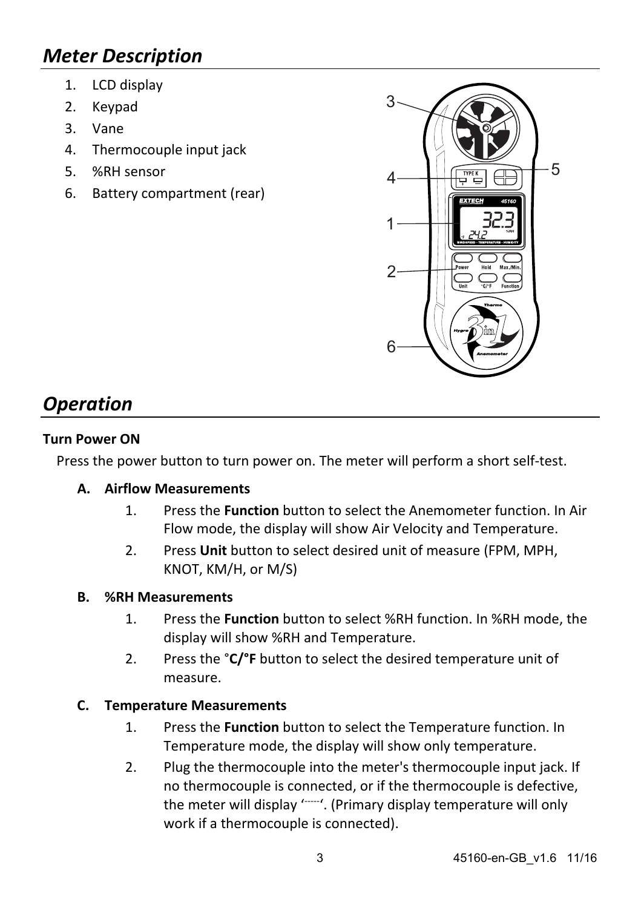### *Meter Description*

- 1. LCD display
- 2. Keypad
- 3. Vane
- 4. Thermocouple input jack
- 5. %RH sensor
- 6. Battery compartment (rear)



### *Operation*

#### **Turn Power ON**

Press the power button to turn power on. The meter will perform a short self‐test.

#### **A. Airflow Measurements**

- 1. Press the **Function** button to select the Anemometer function. In Air Flow mode, the display will show Air Velocity and Temperature.
- 2. Press **Unit** button to select desired unit of measure (FPM, MPH, KNOT, KM/H, or M/S)

#### **B. %RH Measurements**

- 1. Press the **Function** button to select %RH function. In %RH mode, the display will show %RH and Temperature.
- 2. Press the °**C/°F** button to select the desired temperature unit of measure.

#### **C. Temperature Measurements**

- 1. Press the **Function** button to select the Temperature function. In Temperature mode, the display will show only temperature.
- 2. Plug the thermocouple into the meter's thermocouple input jack. If no thermocouple is connected, or if the thermocouple is defective, the meter will display '----'. (Primary display temperature will only work if a thermocouple is connected).